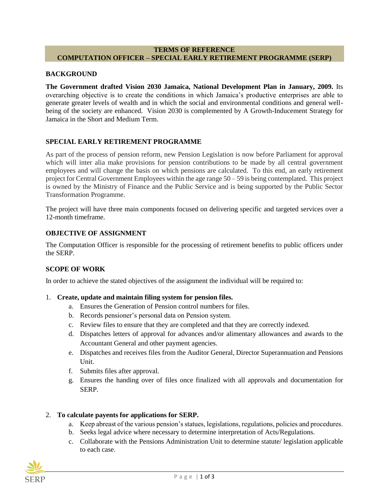### **TERMS OF REFERENCE COMPUTATION OFFICER – SPECIAL EARLY RETIREMENT PROGRAMME (SERP)**

### **BACKGROUND**

**The Government drafted Vision 2030 Jamaica, National Development Plan in January, 2009.** Its overarching objective is to create the conditions in which Jamaica's productive enterprises are able to generate greater levels of wealth and in which the social and environmental conditions and general wellbeing of the society are enhanced. Vision 2030 is complemented by A Growth-Inducement Strategy for Jamaica in the Short and Medium Term.

## **SPECIAL EARLY RETIREMENT PROGRAMME**

As part of the process of pension reform, new Pension Legislation is now before Parliament for approval which will inter alia make provisions for pension contributions to be made by all central government employees and will change the basis on which pensions are calculated. To this end, an early retirement project for Central Government Employees within the age range 50 – 59 is being contemplated. This project is owned by the Ministry of Finance and the Public Service and is being supported by the Public Sector Transformation Programme.

The project will have three main components focused on delivering specific and targeted services over a 12-month timeframe.

#### **OBJECTIVE OF ASSIGNMENT**

The Computation Officer is responsible for the processing of retirement benefits to public officers under the SERP.

### **SCOPE OF WORK**

In order to achieve the stated objectives of the assignment the individual will be required to:

### 1. **Create, update and maintain filing system for pension files.**

- a. Ensures the Generation of Pension control numbers for files.
- b. Records pensioner's personal data on Pension system.
- c. Review files to ensure that they are completed and that they are correctly indexed.
- d. Dispatches letters of approval for advances and/or alimentary allowances and awards to the Accountant General and other payment agencies.
- e. Dispatches and receives files from the Auditor General, Director Superannuation and Pensions Unit.
- f. Submits files after approval.
- g. Ensures the handing over of files once finalized with all approvals and documentation for SERP.

### 2. **To calculate payents for applications for SERP.**

- a. Keep abreast of the various pension's statues, legislations, regulations, policies and procedures.
- b. Seeks legal advice where necessary to determine interpretation of Acts/Regulations.
- c. Collaborate with the Pensions Administration Unit to determine statute/ legislation applicable to each case.

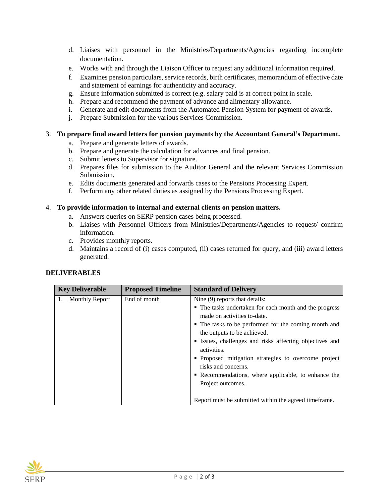- d. Liaises with personnel in the Ministries/Departments/Agencies regarding incomplete documentation.
- e. Works with and through the Liaison Officer to request any additional information required.
- f. Examines pension particulars, service records, birth certificates, memorandum of effective date and statement of earnings for authenticity and accuracy.
- g. Ensure information submitted is correct (e.g. salary paid is at correct point in scale.
- h. Prepare and recommend the payment of advance and alimentary allowance.
- i. Generate and edit documents from the Automated Pension System for payment of awards.
- j. Prepare Submission for the various Services Commission.

## 3. **To prepare final award letters for pension payments by the Accountant General's Department.**

- a. Prepare and generate letters of awards.
- b. Prepare and generate the calculation for advances and final pension.
- c. Submit letters to Supervisor for signature.
- d. Prepares files for submission to the Auditor General and the relevant Services Commission Submission.
- e. Edits documents generated and forwards cases to the Pensions Processing Expert.
- f. Perform any other related duties as assigned by the Pensions Processing Expert.

### 4. **To provide information to internal and external clients on pension matters.**

- a. Answers queries on SERP pension cases being processed.
- b. Liaises with Personnel Officers from Ministries/Departments/Agencies to request/ confirm information.
- c. Provides monthly reports.
- d. Maintains a record of (i) cases computed, (ii) cases returned for query, and (iii) award letters generated.

| <b>DELIVERABLES</b> |  |
|---------------------|--|
|---------------------|--|

| <b>Key Deliverable</b> | <b>Proposed Timeline</b> | <b>Standard of Delivery</b>                                                           |
|------------------------|--------------------------|---------------------------------------------------------------------------------------|
| 1. Monthly Report      | End of month             | Nine (9) reports that details:                                                        |
|                        |                          | • The tasks undertaken for each month and the progress<br>made on activities to-date. |
|                        |                          | • The tasks to be performed for the coming month and                                  |
|                        |                          | the outputs to be achieved.                                                           |
|                        |                          | • Issues, challenges and risks affecting objectives and<br>activities.                |
|                        |                          | • Proposed mitigation strategies to overcome project<br>risks and concerns.           |
|                        |                          | • Recommendations, where applicable, to enhance the                                   |
|                        |                          | Project outcomes.                                                                     |
|                        |                          | Report must be submitted within the agreed time frame.                                |